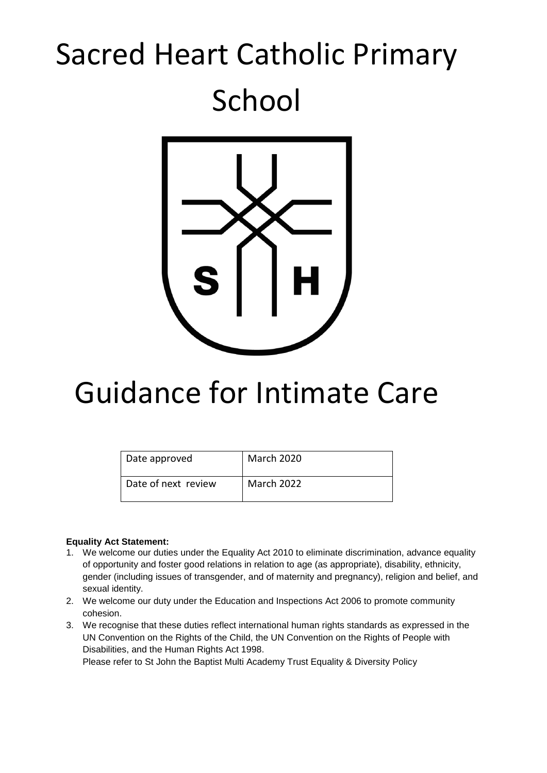# Sacred Heart Catholic Primary School



# Guidance for Intimate Care

| Date approved       | <b>March 2020</b> |
|---------------------|-------------------|
| Date of next review | March 2022        |

# **Equality Act Statement:**

- 1. We welcome our duties under the Equality Act 2010 to eliminate discrimination, advance equality of opportunity and foster good relations in relation to age (as appropriate), disability, ethnicity, gender (including issues of transgender, and of maternity and pregnancy), religion and belief, and sexual identity.
- 2. We welcome our duty under the Education and Inspections Act 2006 to promote community cohesion.
- 3. We recognise that these duties reflect international human rights standards as expressed in the UN Convention on the Rights of the Child, the UN Convention on the Rights of People with Disabilities, and the Human Rights Act 1998.

Please refer to St John the Baptist Multi Academy Trust Equality & Diversity Policy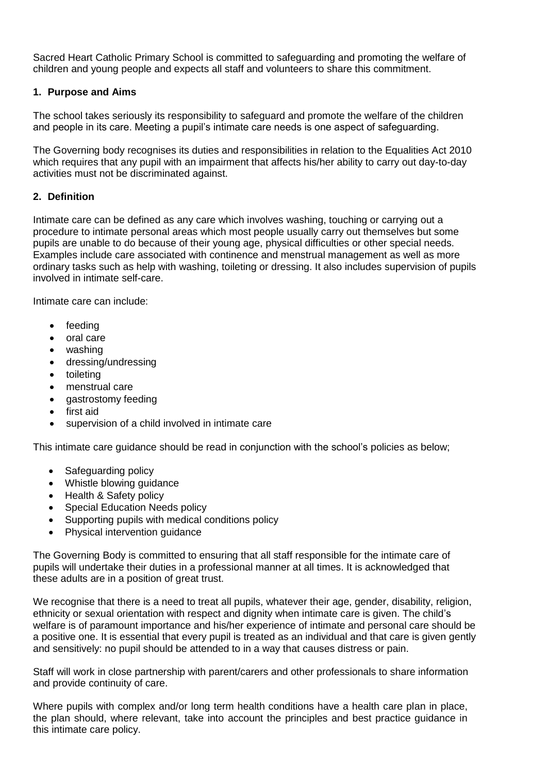Sacred Heart Catholic Primary School is committed to safeguarding and promoting the welfare of children and young people and expects all staff and volunteers to share this commitment.

# **1. Purpose and Aims**

The school takes seriously its responsibility to safeguard and promote the welfare of the children and people in its care. Meeting a pupil's intimate care needs is one aspect of safeguarding.

The Governing body recognises its duties and responsibilities in relation to the Equalities Act 2010 which requires that any pupil with an impairment that affects his/her ability to carry out day-to-day activities must not be discriminated against.

# **2. Definition**

Intimate care can be defined as any care which involves washing, touching or carrying out a procedure to intimate personal areas which most people usually carry out themselves but some pupils are unable to do because of their young age, physical difficulties or other special needs. Examples include care associated with continence and menstrual management as well as more ordinary tasks such as help with washing, toileting or dressing. It also includes supervision of pupils involved in intimate self-care.

Intimate care can include:

- feeding
- oral care
- washing
- dressing/undressing
- toileting
- menstrual care
- gastrostomy feeding
- first aid
- supervision of a child involved in intimate care

This intimate care guidance should be read in conjunction with the school's policies as below;

- Safeguarding policy
- Whistle blowing guidance
- Health & Safety policy
- Special Education Needs policy
- Supporting pupils with medical conditions policy
- Physical intervention guidance

The Governing Body is committed to ensuring that all staff responsible for the intimate care of pupils will undertake their duties in a professional manner at all times. It is acknowledged that these adults are in a position of great trust.

We recognise that there is a need to treat all pupils, whatever their age, gender, disability, religion, ethnicity or sexual orientation with respect and dignity when intimate care is given. The child's welfare is of paramount importance and his/her experience of intimate and personal care should be a positive one. It is essential that every pupil is treated as an individual and that care is given gently and sensitively: no pupil should be attended to in a way that causes distress or pain.

Staff will work in close partnership with parent/carers and other professionals to share information and provide continuity of care.

Where pupils with complex and/or long term health conditions have a health care plan in place, the plan should, where relevant, take into account the principles and best practice guidance in this intimate care policy.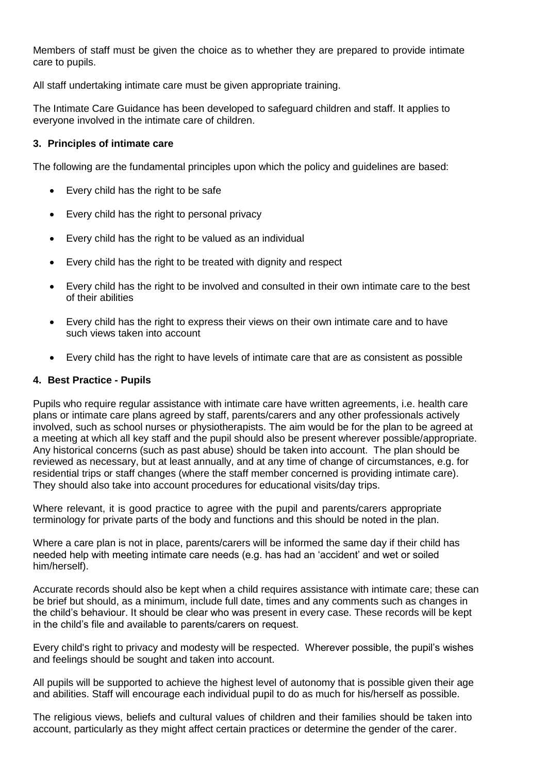Members of staff must be given the choice as to whether they are prepared to provide intimate care to pupils.

All staff undertaking intimate care must be given appropriate training.

The Intimate Care Guidance has been developed to safeguard children and staff. It applies to everyone involved in the intimate care of children.

### **3. Principles of intimate care**

The following are the fundamental principles upon which the policy and guidelines are based:

- Every child has the right to be safe
- Every child has the right to personal privacy
- Every child has the right to be valued as an individual
- Every child has the right to be treated with dignity and respect
- Every child has the right to be involved and consulted in their own intimate care to the best of their abilities
- Every child has the right to express their views on their own intimate care and to have such views taken into account
- Every child has the right to have levels of intimate care that are as consistent as possible

#### **4. Best Practice - Pupils**

Pupils who require regular assistance with intimate care have written agreements, i.e. health care plans or intimate care plans agreed by staff, parents/carers and any other professionals actively involved, such as school nurses or physiotherapists. The aim would be for the plan to be agreed at a meeting at which all key staff and the pupil should also be present wherever possible/appropriate. Any historical concerns (such as past abuse) should be taken into account. The plan should be reviewed as necessary, but at least annually, and at any time of change of circumstances, e.g. for residential trips or staff changes (where the staff member concerned is providing intimate care). They should also take into account procedures for educational visits/day trips.

Where relevant, it is good practice to agree with the pupil and parents/carers appropriate terminology for private parts of the body and functions and this should be noted in the plan.

Where a care plan is not in place, parents/carers will be informed the same day if their child has needed help with meeting intimate care needs (e.g. has had an 'accident' and wet or soiled him/herself).

Accurate records should also be kept when a child requires assistance with intimate care; these can be brief but should, as a minimum, include full date, times and any comments such as changes in the child's behaviour. It should be clear who was present in every case. These records will be kept in the child's file and available to parents/carers on request.

Every child's right to privacy and modesty will be respected. Wherever possible, the pupil's wishes and feelings should be sought and taken into account.

All pupils will be supported to achieve the highest level of autonomy that is possible given their age and abilities. Staff will encourage each individual pupil to do as much for his/herself as possible.

The religious views, beliefs and cultural values of children and their families should be taken into account, particularly as they might affect certain practices or determine the gender of the carer.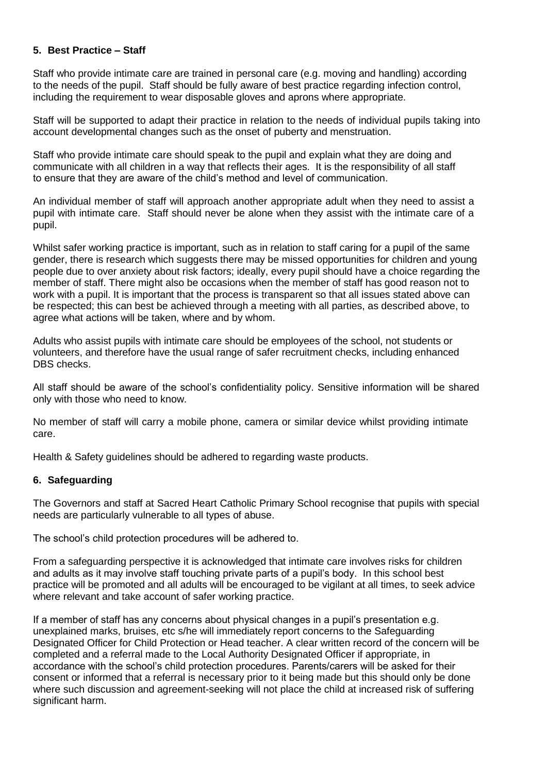# **5. Best Practice – Staff**

Staff who provide intimate care are trained in personal care (e.g. moving and handling) according to the needs of the pupil. Staff should be fully aware of best practice regarding infection control, including the requirement to wear disposable gloves and aprons where appropriate.

Staff will be supported to adapt their practice in relation to the needs of individual pupils taking into account developmental changes such as the onset of puberty and menstruation.

Staff who provide intimate care should speak to the pupil and explain what they are doing and communicate with all children in a way that reflects their ages. It is the responsibility of all staff to ensure that they are aware of the child's method and level of communication.

An individual member of staff will approach another appropriate adult when they need to assist a pupil with intimate care. Staff should never be alone when they assist with the intimate care of a pupil.

Whilst safer working practice is important, such as in relation to staff caring for a pupil of the same gender, there is research which suggests there may be missed opportunities for children and young people due to over anxiety about risk factors; ideally, every pupil should have a choice regarding the member of staff. There might also be occasions when the member of staff has good reason not to work with a pupil. It is important that the process is transparent so that all issues stated above can be respected; this can best be achieved through a meeting with all parties, as described above, to agree what actions will be taken, where and by whom.

Adults who assist pupils with intimate care should be employees of the school, not students or volunteers, and therefore have the usual range of safer recruitment checks, including enhanced DBS checks.

All staff should be aware of the school's confidentiality policy. Sensitive information will be shared only with those who need to know.

No member of staff will carry a mobile phone, camera or similar device whilst providing intimate care.

Health & Safety guidelines should be adhered to regarding waste products.

#### **6. Safeguarding**

The Governors and staff at Sacred Heart Catholic Primary School recognise that pupils with special needs are particularly vulnerable to all types of abuse.

The school's child protection procedures will be adhered to.

From a safeguarding perspective it is acknowledged that intimate care involves risks for children and adults as it may involve staff touching private parts of a pupil's body. In this school best practice will be promoted and all adults will be encouraged to be vigilant at all times, to seek advice where relevant and take account of safer working practice.

If a member of staff has any concerns about physical changes in a pupil's presentation e.g. unexplained marks, bruises, etc s/he will immediately report concerns to the Safeguarding Designated Officer for Child Protection or Head teacher. A clear written record of the concern will be completed and a referral made to the Local Authority Designated Officer if appropriate, in accordance with the school's child protection procedures. Parents/carers will be asked for their consent or informed that a referral is necessary prior to it being made but this should only be done where such discussion and agreement-seeking will not place the child at increased risk of suffering significant harm.